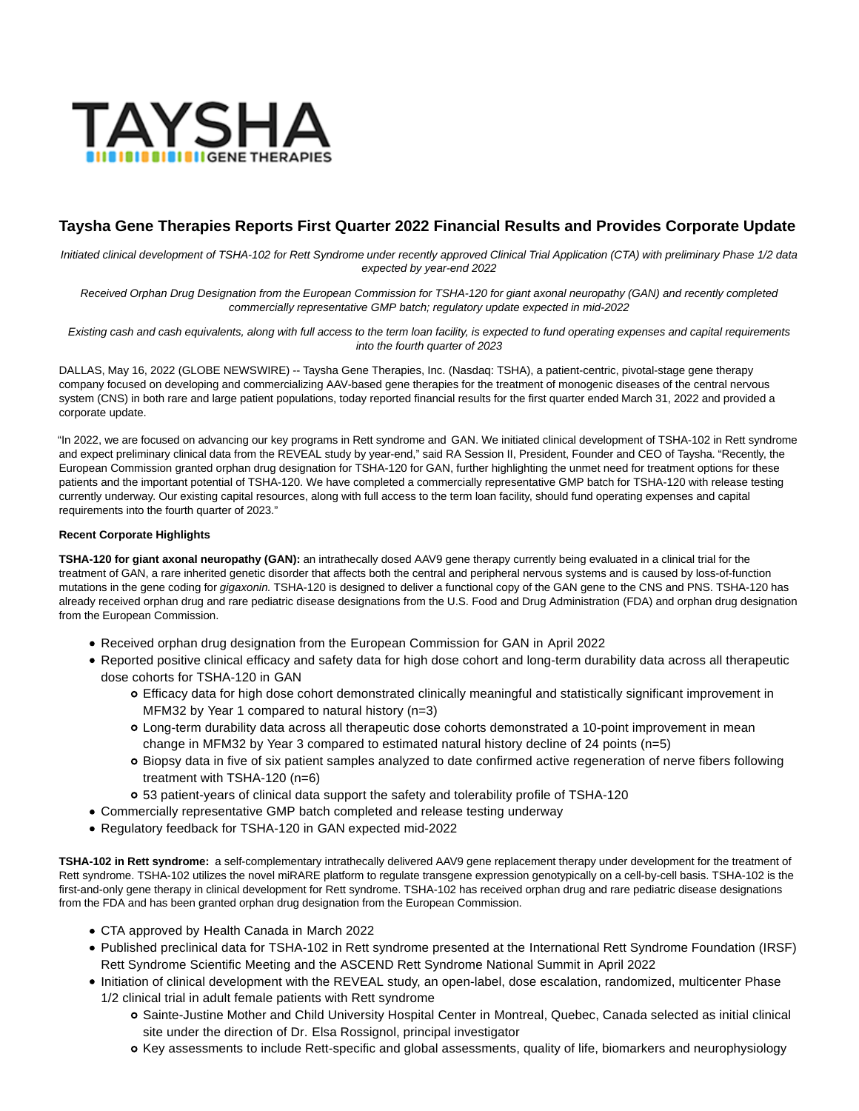

# **Taysha Gene Therapies Reports First Quarter 2022 Financial Results and Provides Corporate Update**

Initiated clinical development of TSHA-102 for Rett Syndrome under recently approved Clinical Trial Application (CTA) with preliminary Phase 1/2 data expected by year-end 2022

Received Orphan Drug Designation from the European Commission for TSHA-120 for giant axonal neuropathy (GAN) and recently completed commercially representative GMP batch; regulatory update expected in mid-2022

Existing cash and cash equivalents, along with full access to the term loan facility, is expected to fund operating expenses and capital requirements into the fourth quarter of 2023

DALLAS, May 16, 2022 (GLOBE NEWSWIRE) -- Taysha Gene Therapies, Inc. (Nasdaq: TSHA), a patient-centric, pivotal-stage gene therapy company focused on developing and commercializing AAV-based gene therapies for the treatment of monogenic diseases of the central nervous system (CNS) in both rare and large patient populations, today reported financial results for the first quarter ended March 31, 2022 and provided a corporate update.

"In 2022, we are focused on advancing our key programs in Rett syndrome and GAN. We initiated clinical development of TSHA-102 in Rett syndrome and expect preliminary clinical data from the REVEAL study by year-end," said RA Session II, President, Founder and CEO of Taysha. "Recently, the European Commission granted orphan drug designation for TSHA-120 for GAN, further highlighting the unmet need for treatment options for these patients and the important potential of TSHA-120. We have completed a commercially representative GMP batch for TSHA-120 with release testing currently underway. Our existing capital resources, along with full access to the term loan facility, should fund operating expenses and capital requirements into the fourth quarter of 2023."

## **Recent Corporate Highlights**

**TSHA-120 for giant axonal neuropathy (GAN):** an intrathecally dosed AAV9 gene therapy currently being evaluated in a clinical trial for the treatment of GAN, a rare inherited genetic disorder that affects both the central and peripheral nervous systems and is caused by loss-of-function mutations in the gene coding for gigaxonin. TSHA-120 is designed to deliver a functional copy of the GAN gene to the CNS and PNS. TSHA-120 has already received orphan drug and rare pediatric disease designations from the U.S. Food and Drug Administration (FDA) and orphan drug designation from the European Commission.

- Received orphan drug designation from the European Commission for GAN in April 2022
- Reported positive clinical efficacy and safety data for high dose cohort and long-term durability data across all therapeutic dose cohorts for TSHA-120 in GAN
	- Efficacy data for high dose cohort demonstrated clinically meaningful and statistically significant improvement in MFM32 by Year 1 compared to natural history (n=3)
	- Long-term durability data across all therapeutic dose cohorts demonstrated a 10-point improvement in mean change in MFM32 by Year 3 compared to estimated natural history decline of 24 points (n=5)
	- Biopsy data in five of six patient samples analyzed to date confirmed active regeneration of nerve fibers following treatment with TSHA-120 (n=6)
	- 53 patient-years of clinical data support the safety and tolerability profile of TSHA-120
- Commercially representative GMP batch completed and release testing underway
- Regulatory feedback for TSHA-120 in GAN expected mid-2022

**TSHA-102 in Rett syndrome:** a self-complementary intrathecally delivered AAV9 gene replacement therapy under development for the treatment of Rett syndrome. TSHA-102 utilizes the novel miRARE platform to regulate transgene expression genotypically on a cell-by-cell basis. TSHA-102 is the first-and-only gene therapy in clinical development for Rett syndrome. TSHA-102 has received orphan drug and rare pediatric disease designations from the FDA and has been granted orphan drug designation from the European Commission.

- CTA approved by Health Canada in March 2022
- Published preclinical data for TSHA-102 in Rett syndrome presented at the International Rett Syndrome Foundation (IRSF) Rett Syndrome Scientific Meeting and the ASCEND Rett Syndrome National Summit in April 2022
- Initiation of clinical development with the REVEAL study, an open-label, dose escalation, randomized, multicenter Phase 1/2 clinical trial in adult female patients with Rett syndrome
	- Sainte-Justine Mother and Child University Hospital Center in Montreal, Quebec, Canada selected as initial clinical site under the direction of Dr. Elsa Rossignol, principal investigator
	- o Key assessments to include Rett-specific and global assessments, quality of life, biomarkers and neurophysiology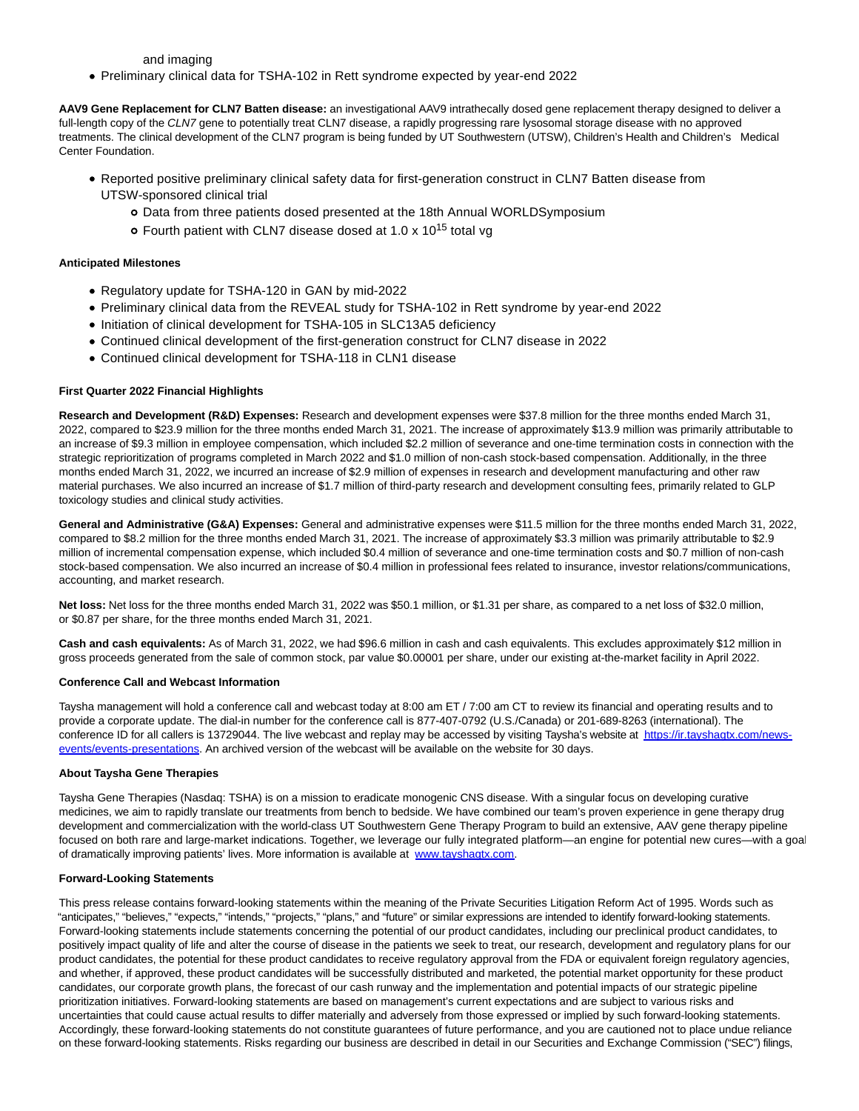and imaging

Preliminary clinical data for TSHA-102 in Rett syndrome expected by year-end 2022

**AAV9 Gene Replacement for CLN7 Batten disease:** an investigational AAV9 intrathecally dosed gene replacement therapy designed to deliver a full-length copy of the CLN7 gene to potentially treat CLN7 disease, a rapidly progressing rare lysosomal storage disease with no approved treatments. The clinical development of the CLN7 program is being funded by UT Southwestern (UTSW), Children's Health and Children's Medical Center Foundation.

- Reported positive preliminary clinical safety data for first-generation construct in CLN7 Batten disease from UTSW-sponsored clinical trial
	- Data from three patients dosed presented at the 18th Annual WORLDSymposium
	- Fourth patient with CLN7 disease dosed at 1.0 x 1015 total vg

## **Anticipated Milestones**

- Regulatory update for TSHA-120 in GAN by mid-2022
- Preliminary clinical data from the REVEAL study for TSHA-102 in Rett syndrome by year-end 2022
- Initiation of clinical development for TSHA-105 in SLC13A5 deficiency
- Continued clinical development of the first-generation construct for CLN7 disease in 2022
- Continued clinical development for TSHA-118 in CLN1 disease

# **First Quarter 2022 Financial Highlights**

**Research and Development (R&D) Expenses:** Research and development expenses were \$37.8 million for the three months ended March 31, 2022, compared to \$23.9 million for the three months ended March 31, 2021. The increase of approximately \$13.9 million was primarily attributable to an increase of \$9.3 million in employee compensation, which included \$2.2 million of severance and one-time termination costs in connection with the strategic reprioritization of programs completed in March 2022 and \$1.0 million of non-cash stock-based compensation. Additionally, in the three months ended March 31, 2022, we incurred an increase of \$2.9 million of expenses in research and development manufacturing and other raw material purchases. We also incurred an increase of \$1.7 million of third-party research and development consulting fees, primarily related to GLP toxicology studies and clinical study activities.

**General and Administrative (G&A) Expenses:** General and administrative expenses were \$11.5 million for the three months ended March 31, 2022, compared to \$8.2 million for the three months ended March 31, 2021. The increase of approximately \$3.3 million was primarily attributable to \$2.9 million of incremental compensation expense, which included \$0.4 million of severance and one-time termination costs and \$0.7 million of non-cash stock-based compensation. We also incurred an increase of \$0.4 million in professional fees related to insurance, investor relations/communications, accounting, and market research.

**Net loss:** Net loss for the three months ended March 31, 2022 was \$50.1 million, or \$1.31 per share, as compared to a net loss of \$32.0 million, or \$0.87 per share, for the three months ended March 31, 2021.

**Cash and cash equivalents:** As of March 31, 2022, we had \$96.6 million in cash and cash equivalents. This excludes approximately \$12 million in gross proceeds generated from the sale of common stock, par value \$0.00001 per share, under our existing at-the-market facility in April 2022.

## **Conference Call and Webcast Information**

Taysha management will hold a conference call and webcast today at 8:00 am ET / 7:00 am CT to review its financial and operating results and to provide a corporate update. The dial-in number for the conference call is 877-407-0792 (U.S./Canada) or 201-689-8263 (international). The conference ID for all callers is 13729044. The live webcast and replay may be accessed by visiting Taysha's website at [https://ir.tayshagtx.com/news](https://www.globenewswire.com/Tracker?data=Fzil5WQgRCiNschsaezOuIJ6XIsLkPtK91LYrVScs6KCqCWoFbsS4Mzv7bjnjnFY9ZyWj5KRYyyUvq_nadOPHLvT_DF8dYxi_TfNi2NNjH9tg3lNeuiY6iQbXlVO4ggf78JjY6hS1Y8Q6K0KN5n1QW3TZPdvWG2Ckc6uCJHp8ELptAiUrBgc3nGu8NtQI3HtDvcdi9NUWuy0lce3wzD5YC5pbNWyISmyId2QHZQyNncMvbEgy-qUaWg2dCtUBXLOcs_OFZe0RNwPdvbVfCPgRgRIfWTAT17nO0p84XuHeTLp2CmVObUoGR9M9RnTI4ecNF59ADZ9azsWYqsRw6PuUMnqINkKnokJP8ZLBne9QyKmwuktCbQJBmyZVMCxcENdFBFwEZcUs-Zt5SgWVFBkIM5HWJEhnfaLjA-zsSU4Kxf5YME5g7ld2cQnLVs9C1LOMw3ZlOY-ab80hzGeyadlXQ3moXSkQmj11US-6De8dhKFP5dkSwmaRH8KRPLX1APL)events/events-presentations. An archived version of the webcast will be available on the website for 30 days.

## **About Taysha Gene Therapies**

Taysha Gene Therapies (Nasdaq: TSHA) is on a mission to eradicate monogenic CNS disease. With a singular focus on developing curative medicines, we aim to rapidly translate our treatments from bench to bedside. We have combined our team's proven experience in gene therapy drug development and commercialization with the world-class UT Southwestern Gene Therapy Program to build an extensive, AAV gene therapy pipeline focused on both rare and large-market indications. Together, we leverage our fully integrated platform—an engine for potential new cures—with a goal of dramatically improving patients' lives. More information is available at [www.tayshagtx.com.](https://www.globenewswire.com/Tracker?data=CHpTCyqIJscPSTbgCRO0cc_YPhC2kC5trLYAlOPpiUbrOkA5v_bEcoJDl6F762tXH6iFM8yCJAE52mvJLvsQxL1yNxg_ePVtLQuYjGrXE8w=)

## **Forward-Looking Statements**

This press release contains forward-looking statements within the meaning of the Private Securities Litigation Reform Act of 1995. Words such as "anticipates," "believes," "expects," "intends," "projects," "plans," and "future" or similar expressions are intended to identify forward-looking statements. Forward-looking statements include statements concerning the potential of our product candidates, including our preclinical product candidates, to positively impact quality of life and alter the course of disease in the patients we seek to treat, our research, development and regulatory plans for our product candidates, the potential for these product candidates to receive regulatory approval from the FDA or equivalent foreign regulatory agencies, and whether, if approved, these product candidates will be successfully distributed and marketed, the potential market opportunity for these product candidates, our corporate growth plans, the forecast of our cash runway and the implementation and potential impacts of our strategic pipeline prioritization initiatives. Forward-looking statements are based on management's current expectations and are subject to various risks and uncertainties that could cause actual results to differ materially and adversely from those expressed or implied by such forward-looking statements. Accordingly, these forward-looking statements do not constitute guarantees of future performance, and you are cautioned not to place undue reliance on these forward-looking statements. Risks regarding our business are described in detail in our Securities and Exchange Commission ("SEC") filings,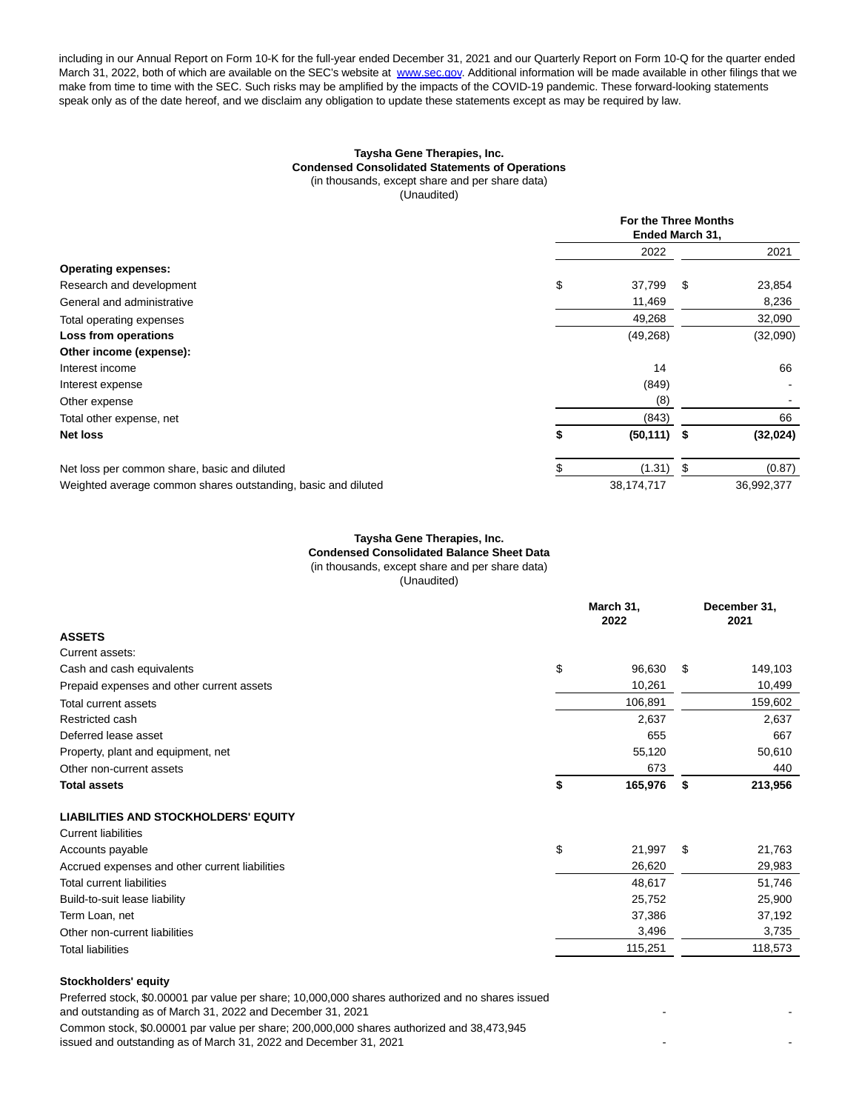including in our Annual Report on Form 10-K for the full-year ended December 31, 2021 and our Quarterly Report on Form 10-Q for the quarter ended March 31, 2022, both of which are available on the SEC's website at [www.sec.gov.](http://www.sec.gov/) Additional information will be made available in other filings that we make from time to time with the SEC. Such risks may be amplified by the impacts of the COVID-19 pandemic. These forward-looking statements speak only as of the date hereof, and we disclaim any obligation to update these statements except as may be required by law.

#### **Taysha Gene Therapies, Inc. Condensed Consolidated Statements of Operations** (in thousands, except share and per share data) (Unaudited)

|                                                               | For the Three Months<br>Ended March 31, |                |     |            |
|---------------------------------------------------------------|-----------------------------------------|----------------|-----|------------|
|                                                               |                                         | 2022           |     | 2021       |
| <b>Operating expenses:</b>                                    |                                         |                |     |            |
| Research and development                                      | \$                                      | 37,799         | S.  | 23,854     |
| General and administrative                                    |                                         | 11,469         |     | 8,236      |
| Total operating expenses                                      |                                         | 49,268         |     | 32,090     |
| Loss from operations                                          |                                         | (49, 268)      |     | (32,090)   |
| Other income (expense):                                       |                                         |                |     |            |
| Interest income                                               |                                         | 14             |     | 66         |
| Interest expense                                              |                                         | (849)          |     |            |
| Other expense                                                 |                                         | (8)            |     |            |
| Total other expense, net                                      |                                         | (843)          |     | 66         |
| <b>Net loss</b>                                               | \$                                      | $(50, 111)$ \$ |     | (32, 024)  |
| Net loss per common share, basic and diluted                  |                                         | (1.31)         | -\$ | (0.87)     |
| Weighted average common shares outstanding, basic and diluted |                                         | 38,174,717     |     | 36,992,377 |

#### **Taysha Gene Therapies, Inc. Condensed Consolidated Balance Sheet Data** (in thousands, except share and per share data) (Unaudited)

|                                                | March 31,<br>2022 |     | December 31,<br>2021 |  |
|------------------------------------------------|-------------------|-----|----------------------|--|
| <b>ASSETS</b>                                  |                   |     |                      |  |
| Current assets:                                |                   |     |                      |  |
| Cash and cash equivalents                      | \$<br>96,630      | S.  | 149,103              |  |
| Prepaid expenses and other current assets      | 10,261            |     | 10,499               |  |
| Total current assets                           | 106,891           |     | 159,602              |  |
| Restricted cash                                | 2,637             |     | 2,637                |  |
| Deferred lease asset                           | 655               |     | 667                  |  |
| Property, plant and equipment, net             | 55,120            |     | 50,610               |  |
| Other non-current assets                       | 673               |     | 440                  |  |
| <b>Total assets</b>                            | \$<br>165,976     | \$  | 213,956              |  |
| <b>LIABILITIES AND STOCKHOLDERS' EQUITY</b>    |                   |     |                      |  |
| <b>Current liabilities</b>                     |                   |     |                      |  |
| Accounts payable                               | \$<br>21,997      | \$. | 21,763               |  |
| Accrued expenses and other current liabilities | 26,620            |     | 29,983               |  |
| Total current liabilities                      | 48,617            |     | 51,746               |  |
| Build-to-suit lease liability                  | 25,752            |     | 25,900               |  |
| Term Loan, net                                 | 37,386            |     | 37,192               |  |
| Other non-current liabilities                  | 3,496             |     | 3,735                |  |
| Total liabilities                              | 115,251           |     | 118,573              |  |

## **Stockholders' equity**

Preferred stock, \$0.00001 par value per share; 10,000,000 shares authorized and no shares issued and outstanding as of March 31, 2022 and December 31, 2021 Common stock, \$0.00001 par value per share; 200,000,000 shares authorized and 38,473,945 issued and outstanding as of March 31, 2022 and December 31, 2021